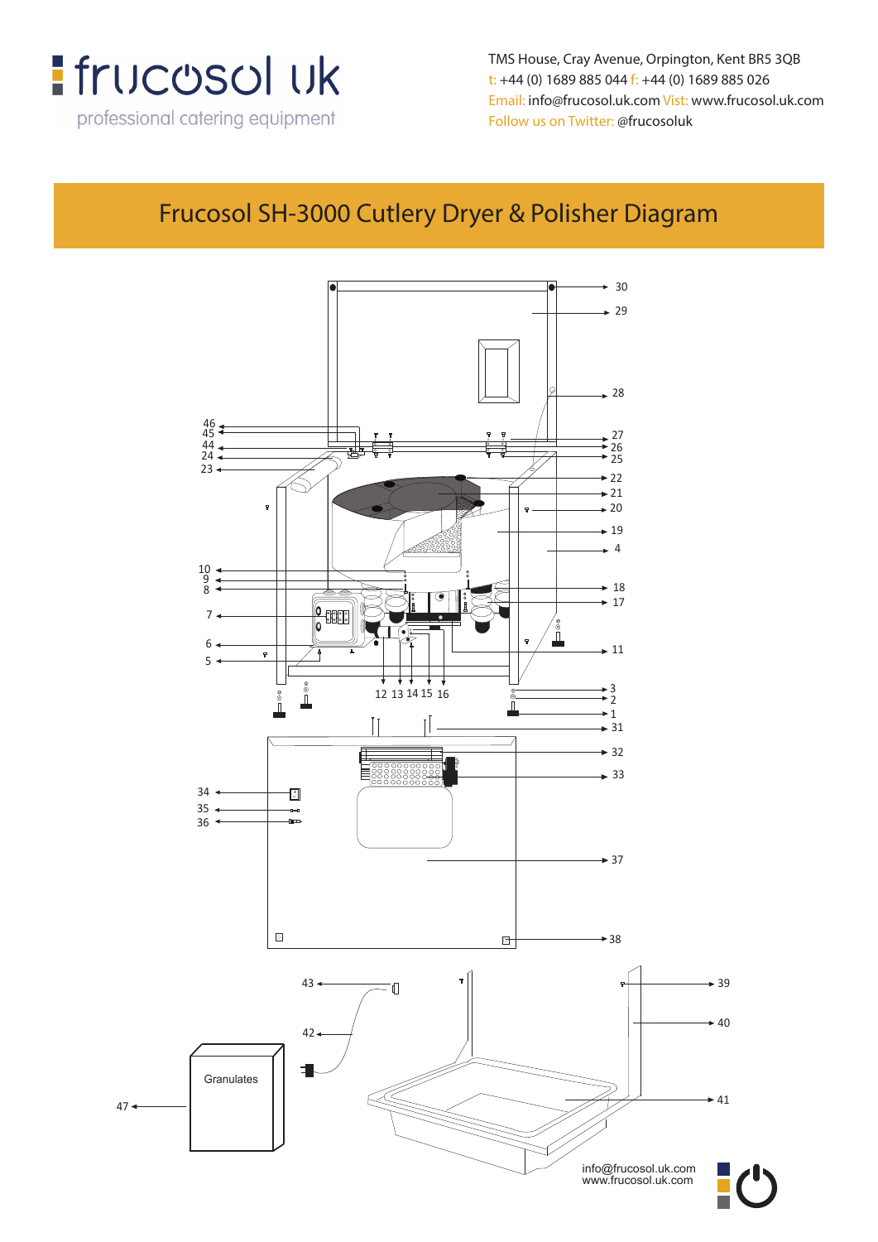

**t: +44 (0) 1689 885 044 f: +44 (0) 1689 885 026** t: +44 (0) 1689 885 044 f: +44 (0) 1689 885 026 **Email: info@frucosol.uk.com Vist: www.frucosol.uk.com** Email: info@frucosol.uk.com Vist: www.frucosol.uk.com **Follow us on Twitter: @frucosoluk** Follow us on Twitter: @frucosoluk TMS House, Cray Avenue, Orpington, Kent BR5 3QB

#### **Frucosol SH-3000 Cutlery Dryer & Polisher Diagram** Frucosol SH-3000 Cutlery Dryer & Polisher Diagram

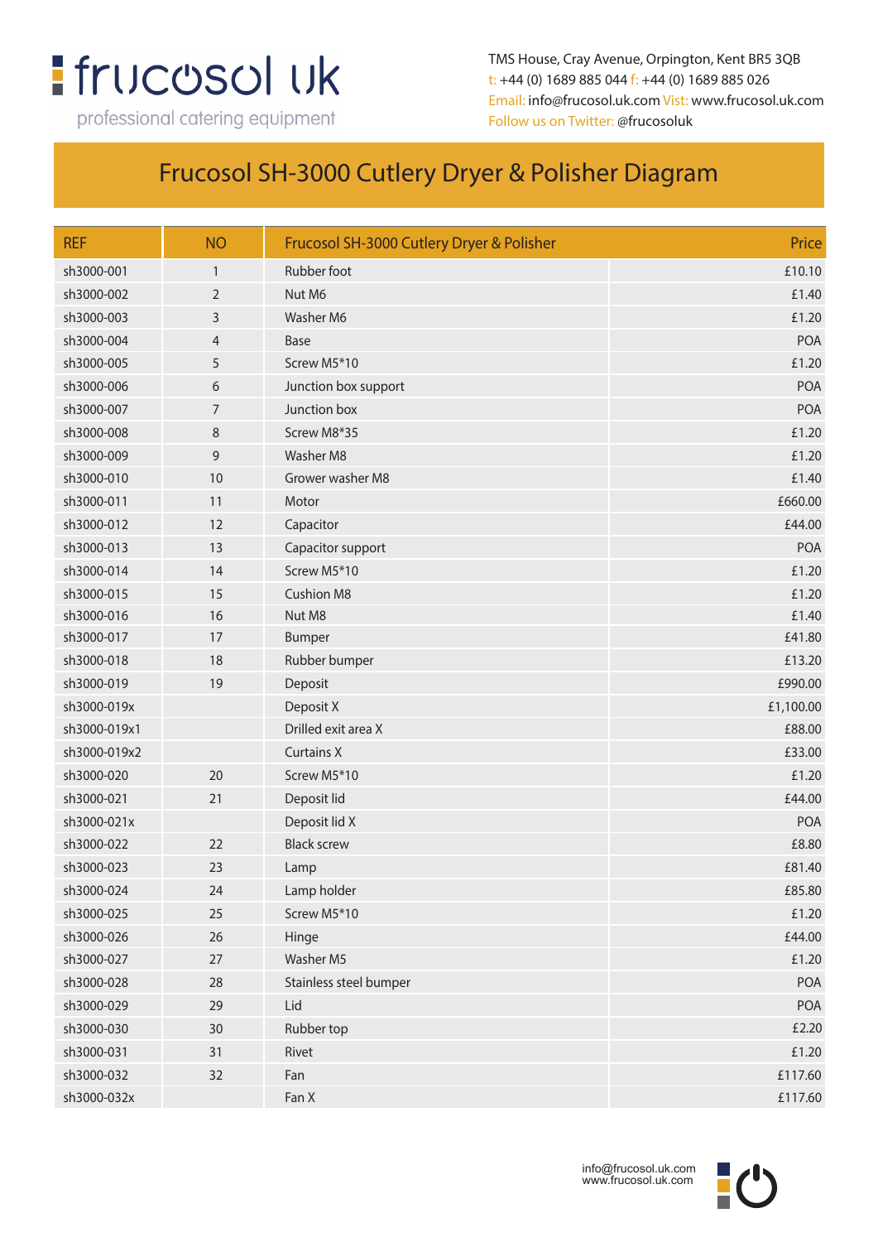# **:** frucosol uk

professional catering equipment

TMS House, Cray Avenue, Orpington, Kent BR5 3QB t: +44 (0) 1689 885 044 f: +44 (0) 1689 885 026 Email: info@frucosol.uk.com Vist: www.frucosol.uk.com Follow us on Twitter: @frucosoluk

### Frucosol SH-3000 Cutlery Dryer & Polisher Diagram

| <b>REF</b>   | <b>NO</b>      | Frucosol SH-3000 Cutlery Dryer & Polisher | Price     |
|--------------|----------------|-------------------------------------------|-----------|
| sh3000-001   | $\mathbf{1}$   | Rubber foot                               | £10.10    |
| sh3000-002   | $\overline{2}$ | Nut M6                                    | £1.40     |
| sh3000-003   | 3              | Washer M6                                 | £1.20     |
| sh3000-004   | $\overline{4}$ | Base                                      | POA       |
| sh3000-005   | 5              | Screw M5*10                               | £1.20     |
| sh3000-006   | 6              | Junction box support                      | POA       |
| sh3000-007   | 7              | Junction box                              | POA       |
| sh3000-008   | 8              | Screw M8*35                               | £1.20     |
| sh3000-009   | 9              | Washer M8                                 | £1.20     |
| sh3000-010   | 10             | Grower washer M8                          | £1.40     |
| sh3000-011   | 11             | Motor                                     | £660.00   |
| sh3000-012   | 12             | Capacitor                                 | £44.00    |
| sh3000-013   | 13             | Capacitor support                         | POA       |
| sh3000-014   | 14             | Screw M5*10                               | £1.20     |
| sh3000-015   | 15             | <b>Cushion M8</b>                         | £1.20     |
| sh3000-016   | 16             | Nut M8                                    | £1.40     |
| sh3000-017   | 17             | Bumper                                    | £41.80    |
| sh3000-018   | 18             | Rubber bumper                             | £13.20    |
| sh3000-019   | 19             | Deposit                                   | £990.00   |
| sh3000-019x  |                | Deposit X                                 | £1,100.00 |
| sh3000-019x1 |                | Drilled exit area X                       | £88.00    |
| sh3000-019x2 |                | <b>Curtains X</b>                         | £33.00    |
| sh3000-020   | 20             | Screw M5*10                               | £1.20     |
| sh3000-021   | 21             | Deposit lid                               | £44.00    |
| sh3000-021x  |                | Deposit lid X                             | POA       |
| sh3000-022   | 22             | <b>Black screw</b>                        | £8.80     |
| sh3000-023   | 23             | Lamp                                      | £81.40    |
| sh3000-024   | 24             | Lamp holder                               | £85.80    |
| sh3000-025   | 25             | Screw M5*10                               | £1.20     |
| sh3000-026   | 26             | Hinge                                     | £44.00    |
| sh3000-027   | 27             | Washer M5                                 | £1.20     |
| sh3000-028   | 28             | Stainless steel bumper                    | POA       |
| sh3000-029   | 29             | Lid                                       | POA       |
| sh3000-030   | 30             | Rubber top                                | £2.20     |
| sh3000-031   | 31             | Rivet                                     | £1.20     |
| sh3000-032   | 32             | Fan                                       | £117.60   |
| sh3000-032x  |                | Fan X                                     | £117.60   |